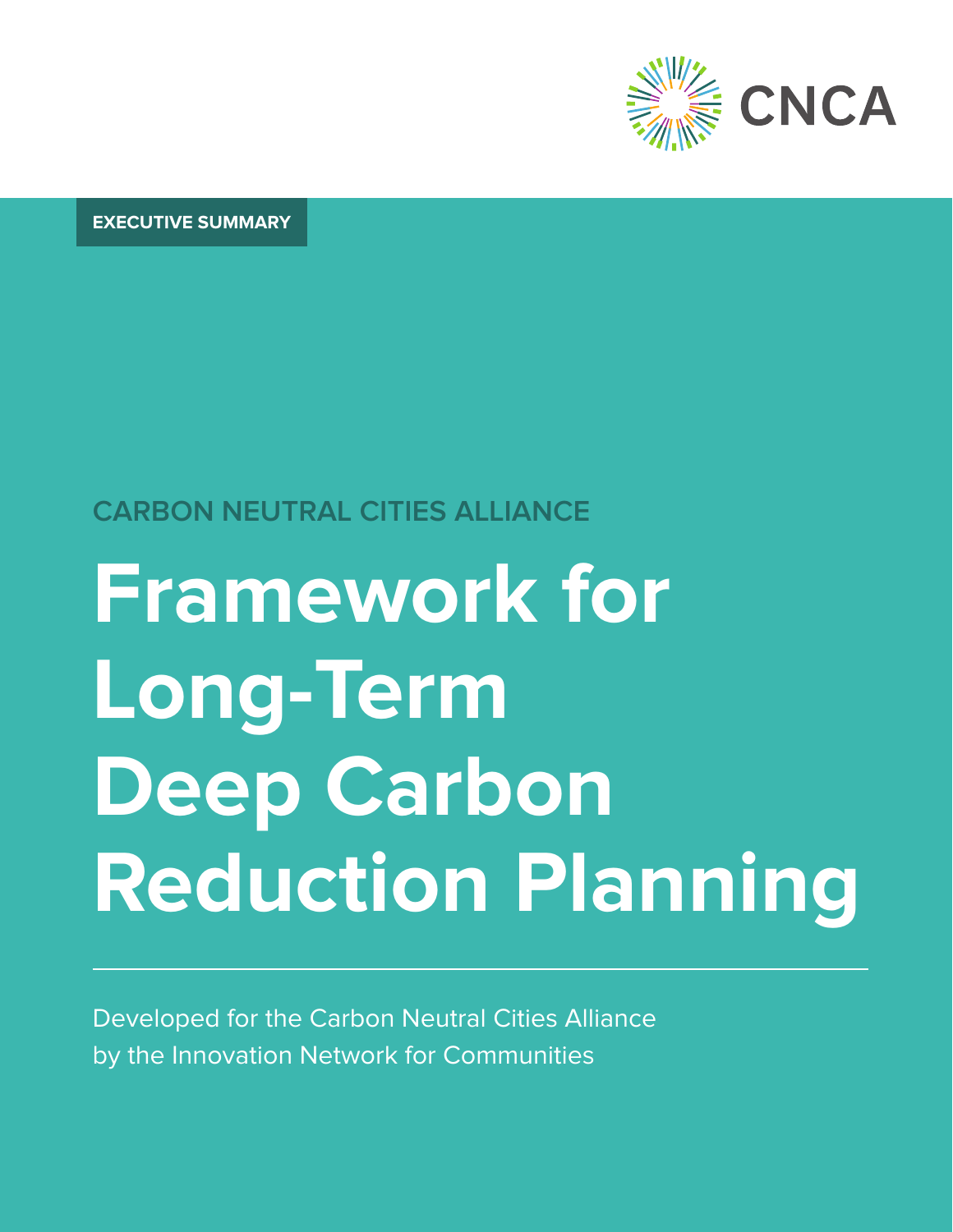

**EXECUTIVE SUMMARY**

## **CARBON NEUTRAL CITIES ALLIANCE**

# **Framework for Long-Term Deep Carbon Reduction Planning**

Developed for the Carbon Neutral Cities Alliance by the Innovation Network for Communities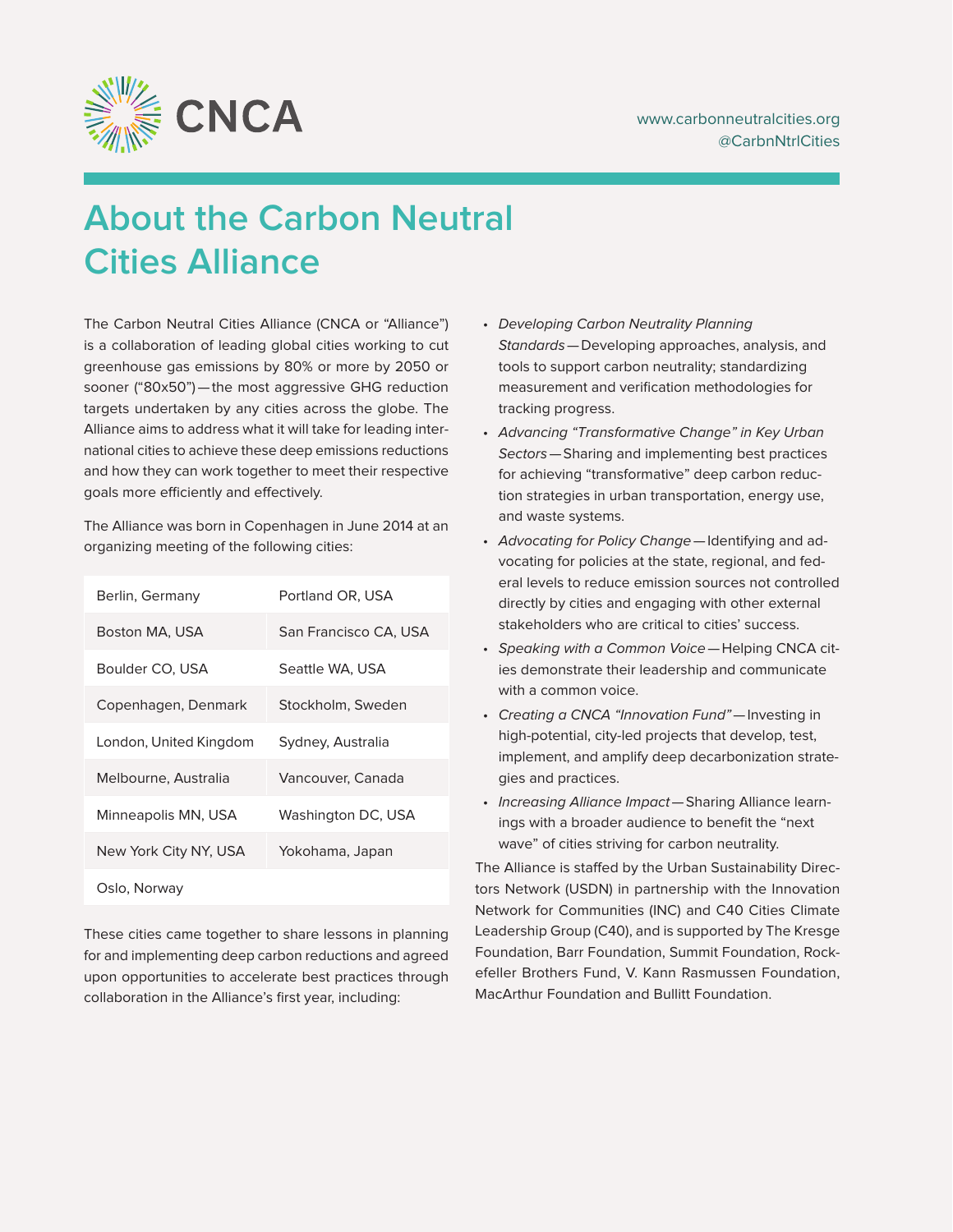

## **About the Carbon Neutral Cities Alliance**

The Carbon Neutral Cities Alliance (CNCA or "Alliance") is a collaboration of leading global cities working to cut greenhouse gas emissions by 80% or more by 2050 or sooner ("80x50")—the most aggressive GHG reduction targets undertaken by any cities across the globe. The Alliance aims to address what it will take for leading international cities to achieve these deep emissions reductions and how they can work together to meet their respective goals more efficiently and effectively.

The Alliance was born in Copenhagen in June 2014 at an organizing meeting of the following cities:

| Berlin, Germany        | Portland OR, USA      |
|------------------------|-----------------------|
| Boston MA. USA         | San Francisco CA. USA |
| Boulder CO, USA        | Seattle WA, USA       |
| Copenhagen, Denmark    | Stockholm, Sweden     |
| London, United Kingdom | Sydney, Australia     |
| Melbourne, Australia   | Vancouver, Canada     |
| Minneapolis MN, USA    | Washington DC, USA    |
| New York City NY, USA  | Yokohama, Japan       |
| Oslo, Norway           |                       |

These cities came together to share lessons in planning for and implementing deep carbon reductions and agreed upon opportunities to accelerate best practices through collaboration in the Alliance's first year, including:

- Developing Carbon Neutrality Planning Standards—Developing approaches, analysis, and tools to support carbon neutrality; standardizing measurement and verification methodologies for tracking progress.
- Advancing "Transformative Change" in Key Urban Sectors—Sharing and implementing best practices for achieving "transformative" deep carbon reduction strategies in urban transportation, energy use, and waste systems.
- Advocating for Policy Change—Identifying and advocating for policies at the state, regional, and federal levels to reduce emission sources not controlled directly by cities and engaging with other external stakeholders who are critical to cities' success.
- Speaking with a Common Voice—Helping CNCA cities demonstrate their leadership and communicate with a common voice.
- Creating a CNCA "Innovation Fund"—Investing in high-potential, city-led projects that develop, test, implement, and amplify deep decarbonization strategies and practices.
- Increasing Alliance Impact—Sharing Alliance learnings with a broader audience to benefit the "next wave" of cities striving for carbon neutrality.

The Alliance is staffed by the Urban Sustainability Directors Network (USDN) in partnership with the Innovation Network for Communities (INC) and C40 Cities Climate Leadership Group (C40), and is supported by The Kresge Foundation, Barr Foundation, Summit Foundation, Rockefeller Brothers Fund, V. Kann Rasmussen Foundation, MacArthur Foundation and Bullitt Foundation.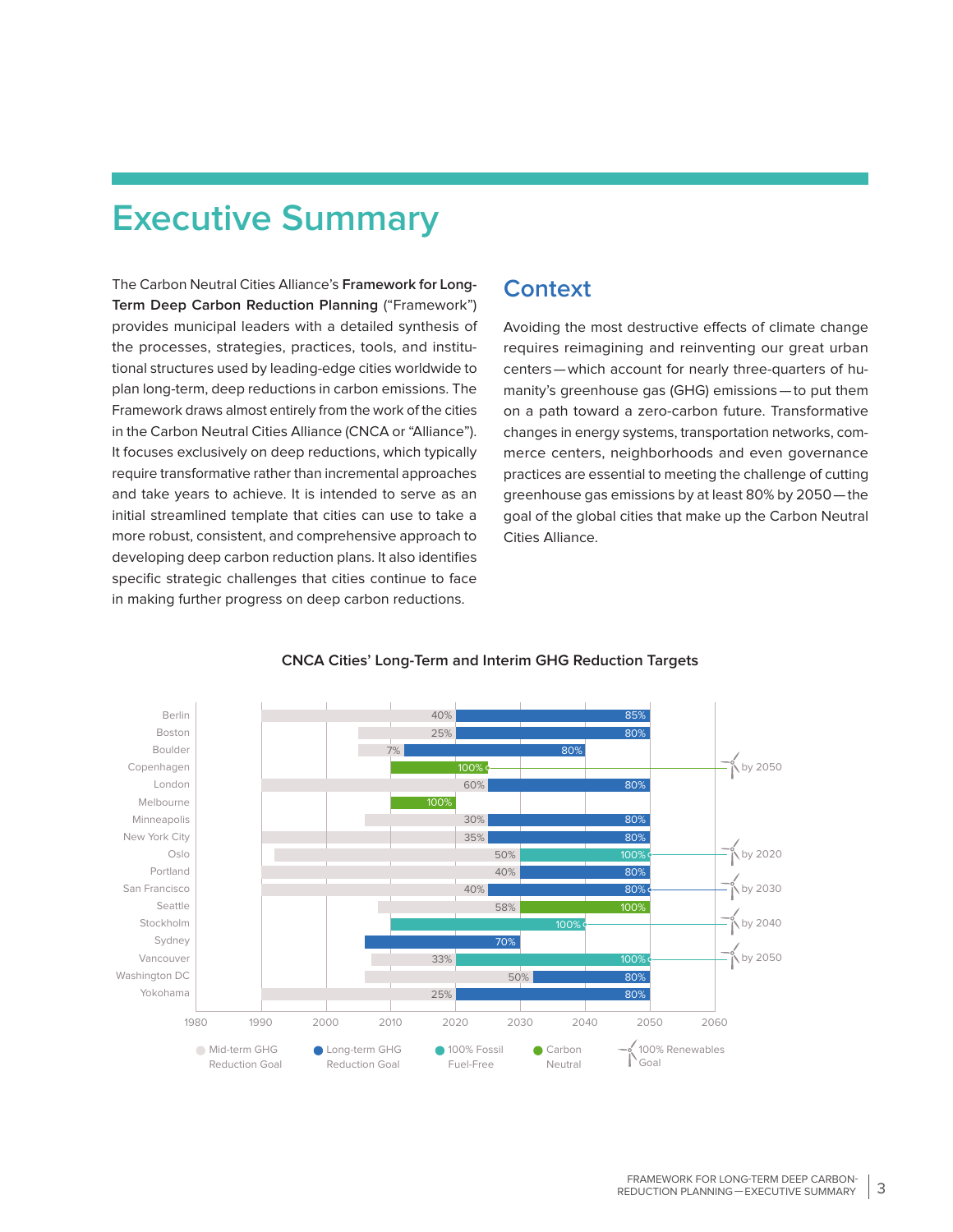## **Executive Summary**

The Carbon Neutral Cities Alliance's **Framework for Long-Term Deep Carbon Reduction Planning** ("Framework") provides municipal leaders with a detailed synthesis of the processes, strategies, practices, tools, and institutional structures used by leading-edge cities worldwide to plan long-term, deep reductions in carbon emissions. The Framework draws almost entirely from the work of the cities in the Carbon Neutral Cities Alliance (CNCA or "Alliance"). It focuses exclusively on deep reductions, which typically require transformative rather than incremental approaches and take years to achieve. It is intended to serve as an initial streamlined template that cities can use to take a more robust, consistent, and comprehensive approach to developing deep carbon reduction plans. It also identifies specific strategic challenges that cities continue to face in making further progress on deep carbon reductions.

## **Context**

Avoiding the most destructive effects of climate change requires reimagining and reinventing our great urban centers—which account for nearly three-quarters of humanity's greenhouse gas (GHG) emissions—to put them on a path toward a zero-carbon future. Transformative changes in energy systems, transportation networks, commerce centers, neighborhoods and even governance practices are essential to meeting the challenge of cutting greenhouse gas emissions by at least 80% by 2050—the goal of the global cities that make up the Carbon Neutral Cities Alliance.



#### **CNCA Cities' Long-Term and Interim GHG Reduction Targets**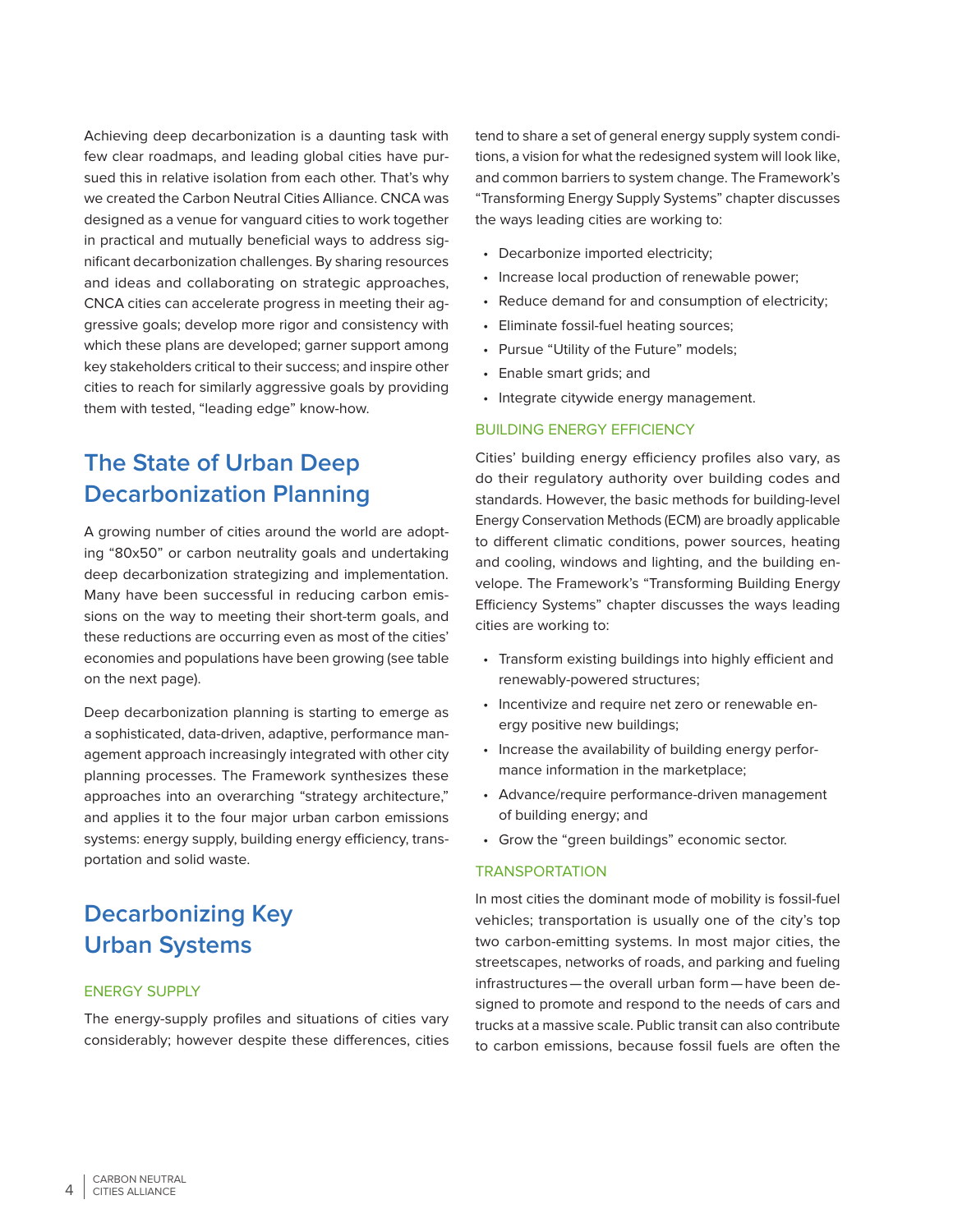Achieving deep decarbonization is a daunting task with few clear roadmaps, and leading global cities have pursued this in relative isolation from each other. That's why we created the Carbon Neutral Cities Alliance. CNCA was designed as a venue for vanguard cities to work together in practical and mutually beneficial ways to address significant decarbonization challenges. By sharing resources and ideas and collaborating on strategic approaches, CNCA cities can accelerate progress in meeting their aggressive goals; develop more rigor and consistency with which these plans are developed; garner support among key stakeholders critical to their success; and inspire other cities to reach for similarly aggressive goals by providing them with tested, "leading edge" know-how.

## **The State of Urban Deep Decarbonization Planning**

A growing number of cities around the world are adopting "80x50" or carbon neutrality goals and undertaking deep decarbonization strategizing and implementation. Many have been successful in reducing carbon emissions on the way to meeting their short-term goals, and these reductions are occurring even as most of the cities' economies and populations have been growing (see table on the next page).

Deep decarbonization planning is starting to emerge as a sophisticated, data-driven, adaptive, performance management approach increasingly integrated with other city planning processes. The Framework synthesizes these approaches into an overarching "strategy architecture," and applies it to the four major urban carbon emissions systems: energy supply, building energy efficiency, transportation and solid waste.

## **Decarbonizing Key Urban Systems**

#### ENERGY SUPPLY

The energy-supply profiles and situations of cities vary considerably; however despite these differences, cities tend to share a set of general energy supply system conditions, a vision for what the redesigned system will look like, and common barriers to system change. The Framework's "Transforming Energy Supply Systems" chapter discusses the ways leading cities are working to:

- Decarbonize imported electricity;
- Increase local production of renewable power;
- Reduce demand for and consumption of electricity;
- Eliminate fossil-fuel heating sources;
- Pursue "Utility of the Future" models;
- Enable smart grids; and
- Integrate citywide energy management.

### BUILDING ENERGY EFFICIENCY

Cities' building energy efficiency profiles also vary, as do their regulatory authority over building codes and standards. However, the basic methods for building-level Energy Conservation Methods (ECM) are broadly applicable to different climatic conditions, power sources, heating and cooling, windows and lighting, and the building envelope. The Framework's "Transforming Building Energy Efficiency Systems" chapter discusses the ways leading cities are working to:

- Transform existing buildings into highly efficient and renewably-powered structures;
- Incentivize and require net zero or renewable energy positive new buildings;
- Increase the availability of building energy performance information in the marketplace;
- Advance/require performance-driven management of building energy; and
- Grow the "green buildings" economic sector.

#### **TRANSPORTATION**

In most cities the dominant mode of mobility is fossil-fuel vehicles; transportation is usually one of the city's top two carbon-emitting systems. In most major cities, the streetscapes, networks of roads, and parking and fueling infrastructures—the overall urban form—have been designed to promote and respond to the needs of cars and trucks at a massive scale. Public transit can also contribute to carbon emissions, because fossil fuels are often the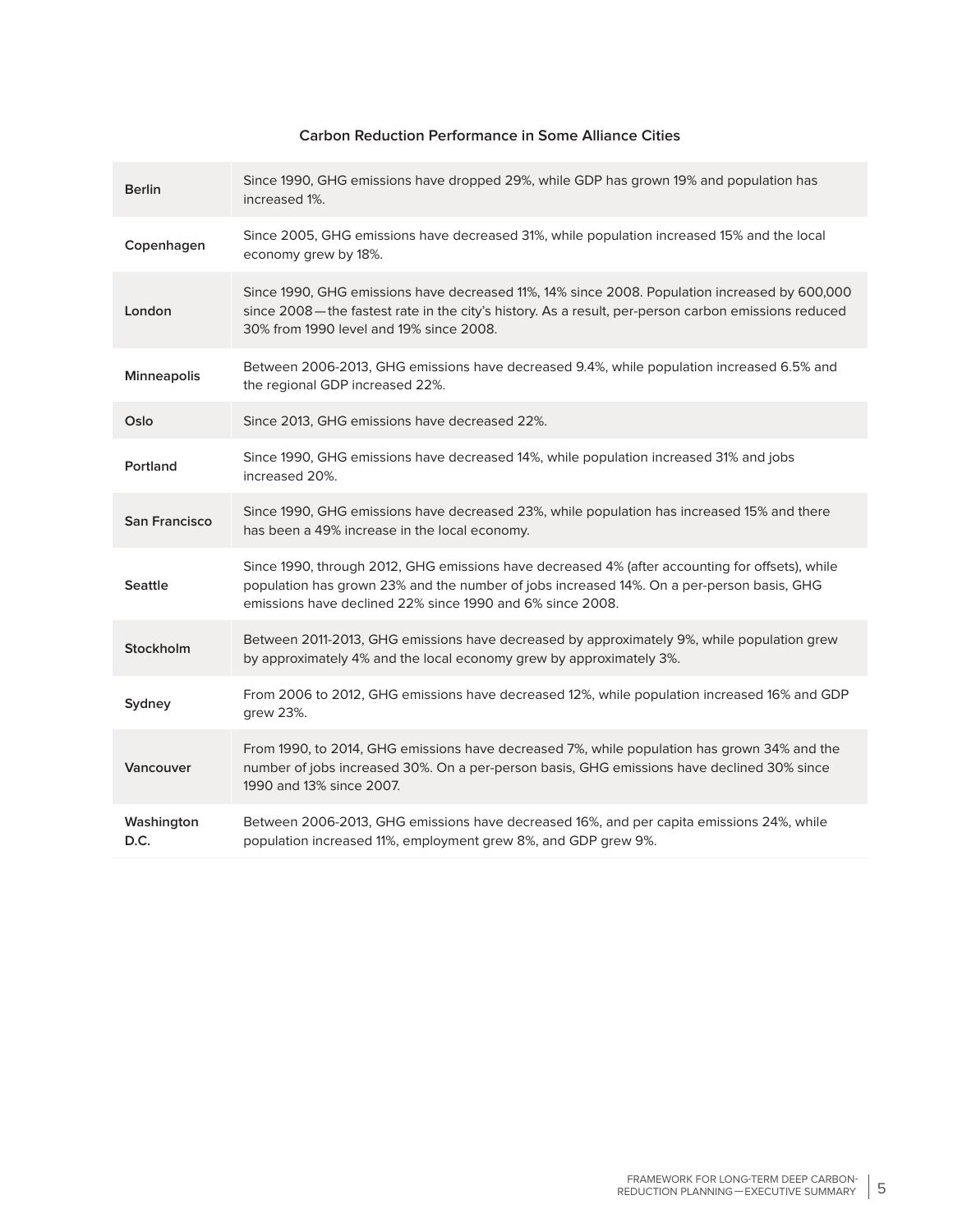### **Carbon Reduction Performance in Some Alliance Cities**

| <b>Berlin</b>        | Since 1990, GHG emissions have dropped 29%, while GDP has grown 19% and population has<br>increased 1%.                                                                                                                                                   |
|----------------------|-----------------------------------------------------------------------------------------------------------------------------------------------------------------------------------------------------------------------------------------------------------|
| Copenhagen           | Since 2005, GHG emissions have decreased 31%, while population increased 15% and the local<br>economy grew by 18%.                                                                                                                                        |
| London               | Since 1990, GHG emissions have decreased 11%, 14% since 2008. Population increased by 600,000<br>since 2008—the fastest rate in the city's history. As a result, per-person carbon emissions reduced<br>30% from 1990 level and 19% since 2008.           |
| Minneapolis          | Between 2006-2013, GHG emissions have decreased 9.4%, while population increased 6.5% and<br>the regional GDP increased 22%.                                                                                                                              |
| Oslo                 | Since 2013, GHG emissions have decreased 22%.                                                                                                                                                                                                             |
| Portland             | Since 1990, GHG emissions have decreased 14%, while population increased 31% and jobs<br>increased 20%.                                                                                                                                                   |
| <b>San Francisco</b> | Since 1990, GHG emissions have decreased 23%, while population has increased 15% and there<br>has been a 49% increase in the local economy.                                                                                                               |
| <b>Seattle</b>       | Since 1990, through 2012, GHG emissions have decreased 4% (after accounting for offsets), while<br>population has grown 23% and the number of jobs increased 14%. On a per-person basis, GHG<br>emissions have declined 22% since 1990 and 6% since 2008. |
| Stockholm            | Between 2011-2013, GHG emissions have decreased by approximately 9%, while population grew<br>by approximately 4% and the local economy grew by approximately 3%.                                                                                         |
| Sydney               | From 2006 to 2012, GHG emissions have decreased 12%, while population increased 16% and GDP<br>grew 23%.                                                                                                                                                  |
| Vancouver            | From 1990, to 2014, GHG emissions have decreased 7%, while population has grown 34% and the<br>number of jobs increased 30%. On a per-person basis, GHG emissions have declined 30% since<br>1990 and 13% since 2007.                                     |
| Washington<br>D.C.   | Between 2006-2013, GHG emissions have decreased 16%, and per capita emissions 24%, while<br>population increased 11%, employment grew 8%, and GDP grew 9%.                                                                                                |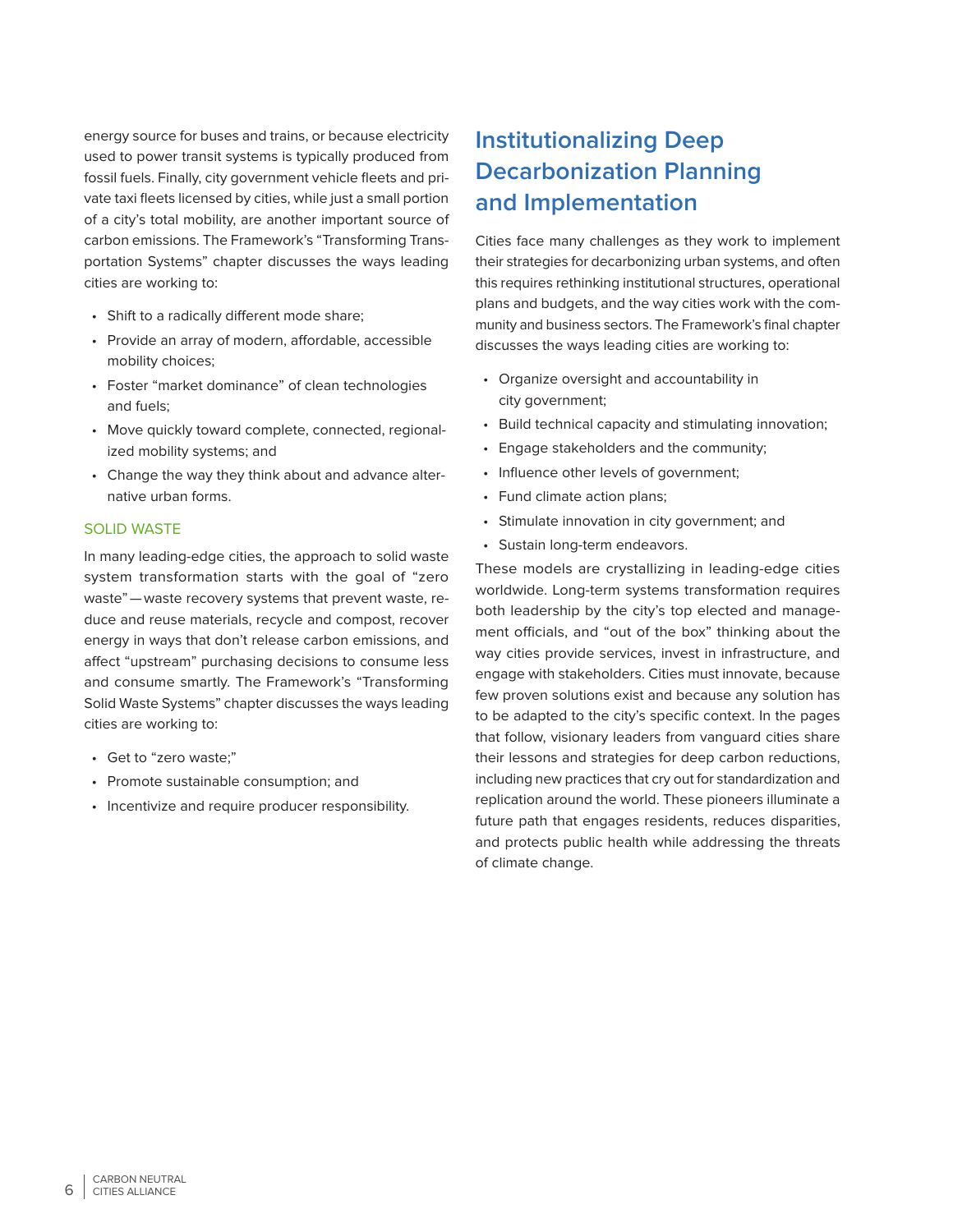energy source for buses and trains, or because electricity used to power transit systems is typically produced from fossil fuels. Finally, city government vehicle fleets and private taxi fleets licensed by cities, while just a small portion of a city's total mobility, are another important source of carbon emissions. The Framework's "Transforming Transportation Systems" chapter discusses the ways leading cities are working to:

- Shift to a radically different mode share;
- Provide an array of modern, affordable, accessible mobility choices;
- Foster "market dominance" of clean technologies and fuels;
- Move quickly toward complete, connected, regionalized mobility systems; and
- Change the way they think about and advance alternative urban forms.

#### SOLID WASTE

In many leading-edge cities, the approach to solid waste system transformation starts with the goal of "zero waste"—waste recovery systems that prevent waste, reduce and reuse materials, recycle and compost, recover energy in ways that don't release carbon emissions, and affect "upstream" purchasing decisions to consume less and consume smartly. The Framework's "Transforming Solid Waste Systems" chapter discusses the ways leading cities are working to:

- Get to "zero waste;"
- Promote sustainable consumption; and
- Incentivize and require producer responsibility.

## **Institutionalizing Deep Decarbonization Planning and Implementation**

Cities face many challenges as they work to implement their strategies for decarbonizing urban systems, and often this requires rethinking institutional structures, operational plans and budgets, and the way cities work with the community and business sectors. The Framework's final chapter discusses the ways leading cities are working to:

- Organize oversight and accountability in city government;
- Build technical capacity and stimulating innovation;
- Engage stakeholders and the community;
- Influence other levels of government;
- Fund climate action plans;
- Stimulate innovation in city government; and
- Sustain long-term endeavors.

These models are crystallizing in leading-edge cities worldwide. Long-term systems transformation requires both leadership by the city's top elected and management officials, and "out of the box" thinking about the way cities provide services, invest in infrastructure, and engage with stakeholders. Cities must innovate, because few proven solutions exist and because any solution has to be adapted to the city's specific context. In the pages that follow, visionary leaders from vanguard cities share their lessons and strategies for deep carbon reductions, including new practices that cry out for standardization and replication around the world. These pioneers illuminate a future path that engages residents, reduces disparities, and protects public health while addressing the threats of climate change.